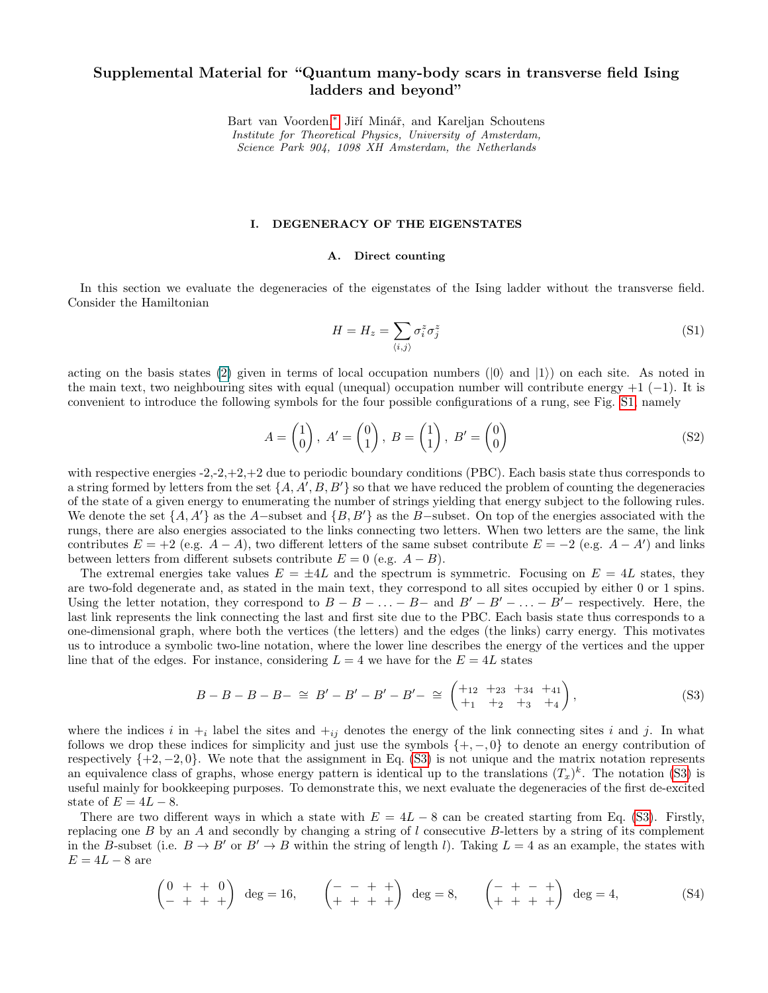## <span id="page-0-1"></span>Supplemental Material for "Quantum many-body scars in transverse field Ising ladders and beyond"

Bart van Voorden,<sup>∗</sup> Jiří Minář, and Kareljan Schoutens Institute for Theoretical Physics, University of Amsterdam, Science Park 904, 1098 XH Amsterdam, the Netherlands

#### I. DEGENERACY OF THE EIGENSTATES

#### A. Direct counting

In this section we evaluate the degeneracies of the eigenstates of the Ising ladder without the transverse field. Consider the Hamiltonian

$$
H = H_z = \sum_{\langle i,j \rangle} \sigma_i^z \sigma_j^z \tag{S1}
$$

acting on the basis states (2) given in terms of local occupation numbers ( $|0\rangle$  and  $|1\rangle$ ) on each site. As noted in the main text, two neighbouring sites with equal (unequal) occupation number will contribute energy  $+1$  (-1). It is convenient to introduce the following symbols for the four possible configurations of a rung, see Fig. [S1,](#page-1-0) namely

$$
A = \begin{pmatrix} 1 \\ 0 \end{pmatrix}, A' = \begin{pmatrix} 0 \\ 1 \end{pmatrix}, B = \begin{pmatrix} 1 \\ 1 \end{pmatrix}, B' = \begin{pmatrix} 0 \\ 0 \end{pmatrix}
$$
 (S2)

with respective energies  $-2,-2,+2,+2$  due to periodic boundary conditions (PBC). Each basis state thus corresponds to a string formed by letters from the set  $\{A, A', B, B'\}$  so that we have reduced the problem of counting the degeneracies of the state of a given energy to enumerating the number of strings yielding that energy subject to the following rules. We denote the set  $\{A, A'\}$  as the A−subset and  $\{B, B'\}$  as the B−subset. On top of the energies associated with the rungs, there are also energies associated to the links connecting two letters. When two letters are the same, the link contributes  $E = +2$  (e.g.  $A - A$ ), two different letters of the same subset contribute  $E = -2$  (e.g.  $A - A'$ ) and links between letters from different subsets contribute  $E = 0$  (e.g.  $A - B$ ).

The extremal energies take values  $E = \pm 4L$  and the spectrum is symmetric. Focusing on  $E = 4L$  states, they are two-fold degenerate and, as stated in the main text, they correspond to all sites occupied by either 0 or 1 spins. Using the letter notation, they correspond to  $B - B - \ldots - B -$  and  $B' - B' - \ldots - B'$  respectively. Here, the last link represents the link connecting the last and first site due to the PBC. Each basis state thus corresponds to a one-dimensional graph, where both the vertices (the letters) and the edges (the links) carry energy. This motivates us to introduce a symbolic two-line notation, where the lower line describes the energy of the vertices and the upper line that of the edges. For instance, considering  $L = 4$  we have for the  $E = 4L$  states

<span id="page-0-0"></span>
$$
B - B - B - B - \cong B' - B' - B' - B' - \cong \begin{pmatrix} +12 & +23 & +34 & +41 \\ +1 & +2 & +3 & +4 \end{pmatrix},\tag{S3}
$$

where the indices i in  $+_i$  label the sites and  $+_ij$  denotes the energy of the link connecting sites i and j. In what follows we drop these indices for simplicity and just use the symbols  $\{+,-,0\}$  to denote an energy contribution of respectively  $\{+2, -2, 0\}$ . We note that the assignment in Eq. [\(S3\)](#page-0-0) is not unique and the matrix notation represents an equivalence class of graphs, whose energy pattern is identical up to the translations  $(T_x)^k$ . The notation [\(S3\)](#page-0-0) is useful mainly for bookkeeping purposes. To demonstrate this, we next evaluate the degeneracies of the first de-excited state of  $E = 4L - 8$ .

There are two different ways in which a state with  $E = 4L - 8$  can be created starting from Eq. [\(S3\)](#page-0-0). Firstly, replacing one  $B$  by an  $A$  and secondly by changing a string of  $l$  consecutive  $B$ -letters by a string of its complement in the B-subset (i.e.  $B \to B'$  or  $B' \to B$  within the string of length l). Taking  $L = 4$  as an example, the states with  $E = 4L - 8$  are

$$
\begin{pmatrix} 0 & + & + & 0 \\ - & + & + & + \end{pmatrix} \quad \deg = 16, \qquad \begin{pmatrix} - & - & + & + \\ + & + & + & + \end{pmatrix} \quad \deg = 8, \qquad \begin{pmatrix} - & + & - & + \\ + & + & + & + \end{pmatrix} \quad \deg = 4, \tag{S4}
$$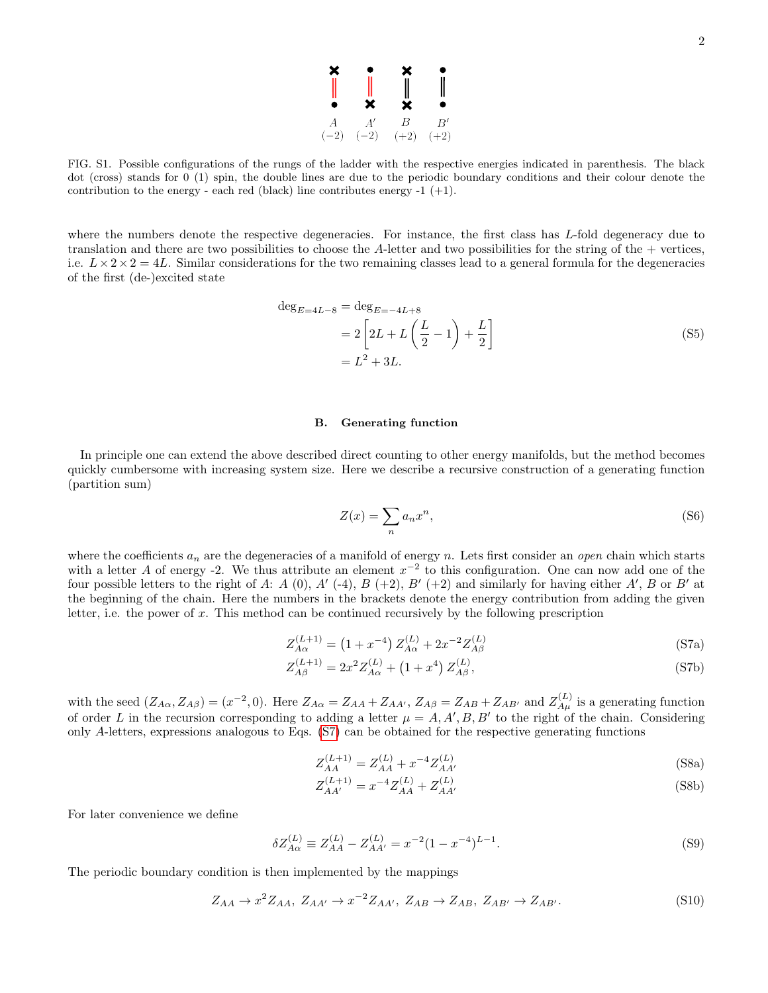

<span id="page-1-0"></span>FIG. S1. Possible configurations of the rungs of the ladder with the respective energies indicated in parenthesis. The black dot (cross) stands for 0 (1) spin, the double lines are due to the periodic boundary conditions and their colour denote the contribution to the energy - each red (black) line contributes energy -1  $(+1)$ .

where the numbers denote the respective degeneracies. For instance, the first class has L-fold degeneracy due to translation and there are two possibilities to choose the A-letter and two possibilities for the string of the + vertices, i.e.  $L \times 2 \times 2 = 4L$ . Similar considerations for the two remaining classes lead to a general formula for the degeneracies of the first (de-)excited state

<span id="page-1-4"></span>
$$
\deg_{E=4L-8} = \deg_{E=-4L+8}
$$
  
=  $2\left[2L + L\left(\frac{L}{2} - 1\right) + \frac{L}{2}\right]$   
=  $L^2 + 3L$ . (S5)

#### B. Generating function

In principle one can extend the above described direct counting to other energy manifolds, but the method becomes quickly cumbersome with increasing system size. Here we describe a recursive construction of a generating function (partition sum)

<span id="page-1-1"></span>
$$
Z(x) = \sum_{n} a_n x^n,
$$
 (S6)

where the coefficients  $a_n$  are the degeneracies of a manifold of energy n. Lets first consider an *open* chain which starts with a letter A of energy -2. We thus attribute an element  $x^{-2}$  to this configuration. One can now add one of the four possible letters to the right of A: A (0), A' (-4), B (+2), B' (+2) and similarly for having either A', B or B' at the beginning of the chain. Here the numbers in the brackets denote the energy contribution from adding the given letter, i.e. the power of  $x$ . This method can be continued recursively by the following prescription

$$
Z_{A\alpha}^{(L+1)} = (1 + x^{-4}) Z_{A\alpha}^{(L)} + 2x^{-2} Z_{A\beta}^{(L)}
$$
(S7a)

$$
Z_{A\beta}^{(L+1)} = 2x^2 Z_{A\alpha}^{(L)} + (1+x^4) Z_{A\beta}^{(L)},
$$
\n(S7b)

with the seed  $(Z_{A\alpha}, Z_{A\beta}) = (x^{-2}, 0)$ . Here  $Z_{A\alpha} = Z_{AA} + Z_{AA'}$ ,  $Z_{A\beta} = Z_{AB} + Z_{AB'}$  and  $Z_{A\mu}^{(L)}$  is a generating function of order L in the recursion corresponding to adding a letter  $\mu = A, A', B, B'$  to the right of the chain. Considering only A-letters, expressions analogous to Eqs. [\(S7\)](#page-1-1) can be obtained for the respective generating functions

$$
Z_{AA}^{(L+1)} = Z_{AA}^{(L)} + x^{-4} Z_{AA'}^{(L)}
$$
\n(S8a)

$$
Z_{AA'}^{(L+1)} = x^{-4} Z_{AA}^{(L)} + Z_{AA'}^{(L)}
$$
 (S8b)

For later convenience we define

<span id="page-1-3"></span>
$$
\delta Z_{A\alpha}^{(L)} \equiv Z_{AA}^{(L)} - Z_{AA'}^{(L)} = x^{-2} (1 - x^{-4})^{L-1}.
$$
\n(S9)

The periodic boundary condition is then implemented by the mappings

<span id="page-1-2"></span>
$$
Z_{AA} \rightarrow x^2 Z_{AA}, Z_{AA'} \rightarrow x^{-2} Z_{AA'}, Z_{AB} \rightarrow Z_{AB}, Z_{AB'} \rightarrow Z_{AB'}.
$$
 (S10)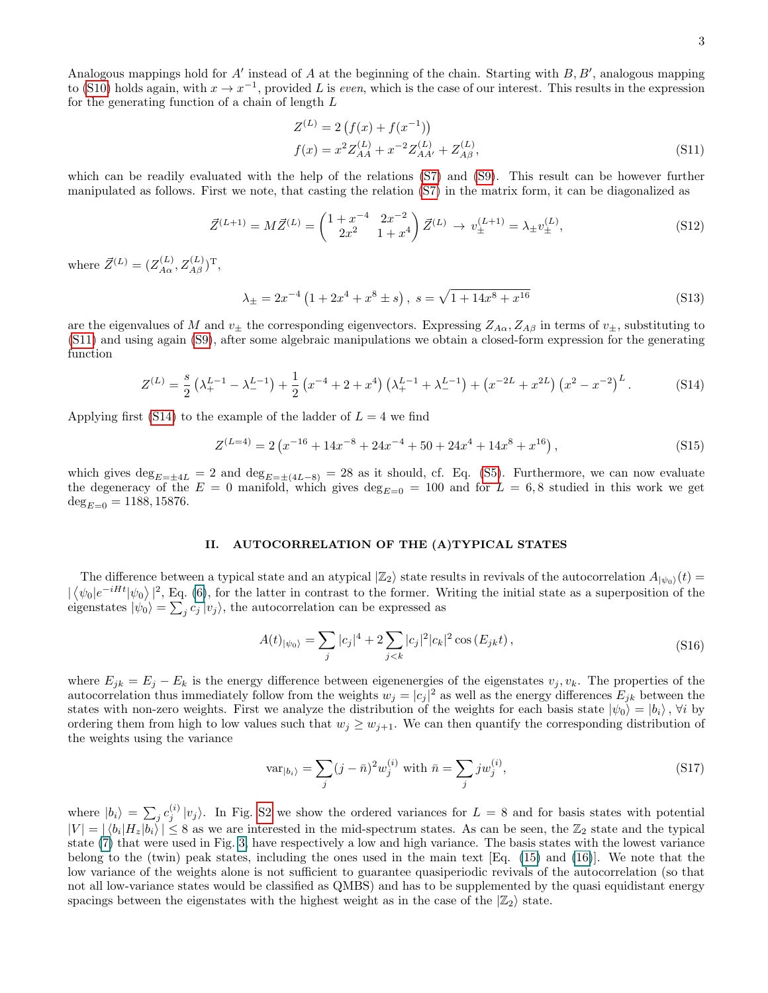<span id="page-2-0"></span>
$$
Z^{(L)} = 2(f(x) + f(x^{-1}))
$$
  
\n
$$
f(x) = x^{2} Z_{AA}^{(L)} + x^{-2} Z_{AA'}^{(L)} + Z_{A\beta}^{(L)},
$$
\n(S11)

which can be readily evaluated with the help of the relations [\(S7\)](#page-1-1) and [\(S9\)](#page-1-3). This result can be however further manipulated as follows. First we note, that casting the relation [\(S7\)](#page-1-1) in the matrix form, it can be diagonalized as

$$
\vec{Z}^{(L+1)} = M\vec{Z}^{(L)} = \begin{pmatrix} 1+x^{-4} & 2x^{-2} \\ 2x^2 & 1+x^4 \end{pmatrix} \vec{Z}^{(L)} \to v_{\pm}^{(L+1)} = \lambda_{\pm} v_{\pm}^{(L)},
$$
\n(S12)

where  $\vec{Z}^{(L)} = (Z_{A\alpha}^{(L)}, Z_{A\beta}^{(L)})^{\mathrm{T}},$ 

$$
\lambda_{\pm} = 2x^{-4} \left( 1 + 2x^4 + x^8 \pm s \right), \ s = \sqrt{1 + 14x^8 + x^{16}} \tag{S13}
$$

are the eigenvalues of M and  $v_{\pm}$  the corresponding eigenvectors. Expressing  $Z_{A\alpha}, Z_{A\beta}$  in terms of  $v_{\pm}$ , substituting to [\(S11\)](#page-2-0) and using again [\(S9\)](#page-1-3), after some algebraic manipulations we obtain a closed-form expression for the generating function

<span id="page-2-1"></span>
$$
Z^{(L)} = \frac{s}{2} \left( \lambda_+^{L-1} - \lambda_-^{L-1} \right) + \frac{1}{2} \left( x^{-4} + 2 + x^4 \right) \left( \lambda_+^{L-1} + \lambda_-^{L-1} \right) + \left( x^{-2L} + x^{2L} \right) \left( x^2 - x^{-2} \right)^L. \tag{S14}
$$

Applying first [\(S14\)](#page-2-1) to the example of the ladder of  $L = 4$  we find

$$
Z^{(L=4)} = 2\left(x^{-16} + 14x^{-8} + 24x^{-4} + 50 + 24x^{4} + 14x^{8} + x^{16}\right),\tag{S15}
$$

which gives  $\deg_{E=\pm 4L} = 2$  and  $\deg_{E=\pm (4L-8)} = 28$  as it should, cf. Eq. [\(S5\)](#page-1-4). Furthermore, we can now evaluate the degeneracy of the  $E = 0$  manifold, which gives  $\deg_{E=0} = 100$  and for  $L = 6, 8$  studied in this work we get  $deg_{E=0}$  = 1188, 15876.

## II. AUTOCORRELATION OF THE (A)TYPICAL STATES

The difference between a typical state and an atypical  $|\mathbb{Z}_2\rangle$  state results in revivals of the autocorrelation  $A_{|\psi_0\rangle}(t)$  $|\langle \psi_0|e^{-iHt}|\psi_0\rangle|^2$ , Eq. (6), for the latter in contrast to the former. Writing the initial state as a superposition of the eigenstates  $|\psi_0\rangle = \sum_j c_j |v_j\rangle$ , the autocorrelation can be expressed as

$$
A(t)_{|\psi_0\rangle} = \sum_j |c_j|^4 + 2 \sum_{j < k} |c_j|^2 |c_k|^2 \cos\left(E_{jk}t\right),\tag{S16}
$$

where  $E_{jk} = E_j - E_k$  is the energy difference between eigenenergies of the eigenstates  $v_j, v_k$ . The properties of the autocorrelation thus immediately follow from the weights  $w_j = |c_j|^2$  as well as the energy differences  $E_{jk}$  between the states with non-zero weights. First we analyze the distribution of the weights for each basis state  $|\psi_0\rangle = |b_i\rangle$ ,  $\forall i$  by ordering them from high to low values such that  $w_j \geq w_{j+1}$ . We can then quantify the corresponding distribution of the weights using the variance

$$
\text{var}_{|b_i\rangle} = \sum_j (j - \bar{n})^2 w_j^{(i)} \text{ with } \bar{n} = \sum_j j w_j^{(i)}, \tag{S17}
$$

where  $|b_i\rangle = \sum_j c_j^{(i)} |v_j\rangle$ . In Fig. [S2](#page-3-0) we show the ordered variances for  $L = 8$  and for basis states with potential  $|V| = |\langle b_i | H_z | b_i \rangle| \leq 8$  as we are interested in the mid-spectrum states. As can be seen, the  $\mathbb{Z}_2$  state and the typical state (7) that were used in Fig. [3,](#page-3-1) have respectively a low and high variance. The basis states with the lowest variance belong to the (twin) peak states, including the ones used in the main text [Eq. (15) and (16)]. We note that the low variance of the weights alone is not sufficient to guarantee quasiperiodic revivals of the autocorrelation (so that not all low-variance states would be classified as QMBS) and has to be supplemented by the quasi equidistant energy spacings between the eigenstates with the highest weight as in the case of the  $|\mathbb{Z}_2\rangle$  state.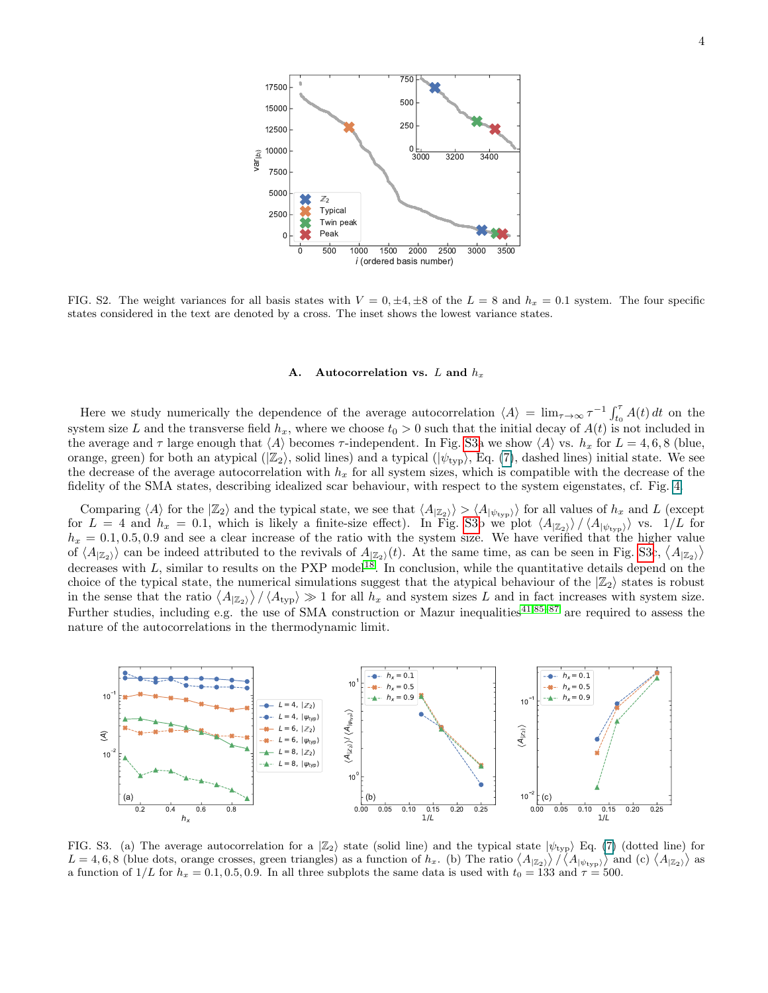

<span id="page-3-0"></span>FIG. S2. The weight variances for all basis states with  $V = 0, \pm 4, \pm 8$  of the  $L = 8$  and  $h_x = 0.1$  system. The four specific states considered in the text are denoted by a cross. The inset shows the lowest variance states.

#### A. Autocorrelation vs.  $L$  and  $h_x$

Here we study numerically the dependence of the average autocorrelation  $\langle A \rangle = \lim_{\tau \to \infty} \tau^{-1} \int_{t_0}^{\tau} A(t) dt$  on the system size L and the transverse field  $h_x$ , where we choose  $t_0 > 0$  such that the initial decay of  $A(t)$  is not included in the average and  $\tau$  large enough that  $\langle A \rangle$  becomes  $\tau$ -independent. In Fig. [S3a](#page-3-1) we show  $\langle A \rangle$  vs.  $h_x$  for  $L = 4, 6, 8$  (blue, orange, green) for both an atypical  $(|\mathbb{Z}_2\rangle)$ , solid lines) and a typical  $(|\psi_{\text{typ}}\rangle)$ , Eq. (7), dashed lines) initial state. We see the decrease of the average autocorrelation with  $h_x$  for all system sizes, which is compatible with the decrease of the fidelity of the SMA states, describing idealized scar behaviour, with respect to the system eigenstates, cf. Fig. 4.

Comparing  $\langle A \rangle$  for the  $|Z_2\rangle$  and the typical state, we see that  $\langle A_{|Z_2\rangle} \rangle > \langle A_{|\psi_{\text{typ}}\rangle}$  for all values of  $h_x$  and L (except for  $L = 4$  and  $h_x = 0.1$ , which is likely a finite-size effect). In Fig. [S3b](#page-3-1) we plot  $\langle A_{Z_2} \rangle / \langle A_{|\psi_{\text{typ}}}\rangle$  vs.  $1/L$  for  $h_x = 0.1, 0.5, 0.9$  and see a clear increase of the ratio with the system size. We have verified that the higher value of  $\langle A_{\langle \mathbb{Z}_2 \rangle} \rangle$  can be indeed attributed to the revivals of  $A_{\langle \mathbb{Z}_2 \rangle}(t)$ . At the same time, as can be seen in Fig. [S3c](#page-3-1),  $\langle A_{\langle \mathbb{Z}_2 \rangle} \rangle$ decreases with  $L$ , similar to results on the PXP model<sup>[18](#page-0-1)</sup>. In conclusion, while the quantitative details depend on the choice of the typical state, the numerical simulations suggest that the atypical behaviour of the  $|Z_2\rangle$  states is robust in the sense that the ratio  $\langle A_{\vert \mathbb{Z}_2} \rangle / \langle A_{\text{typ}} \rangle \gg 1$  for all  $h_x$  and system sizes L and in fact increases with system size. Further studies, including e.g. the use of SMA construction or Mazur inequalities<sup>[41,85–87](#page-0-1)</sup> are required to assess the nature of the autocorrelations in the thermodynamic limit.



<span id="page-3-1"></span>FIG. S3. (a) The average autocorrelation for a  $|Z_2\rangle$  state (solid line) and the typical state  $|\psi_{\text{typ}}\rangle$  Eq. (7) (dotted line) for  $L = 4, 6, 8$  (blue dots, orange crosses, green triangles) as a function of  $h_x$ . (b) The ratio  $\langle A_{\vert \mathbb{Z}_2} \rangle / \langle A_{\vert \psi_{\text{typ}}} \rangle$  and (c)  $\langle A_{\vert \mathbb{Z}_2} \rangle$  as a function of  $1/L$  for  $h_x = 0.1, 0.5, 0.9$ . In all three subplots the same data is used with  $t_0 = 133$  and  $\tau = 500$ .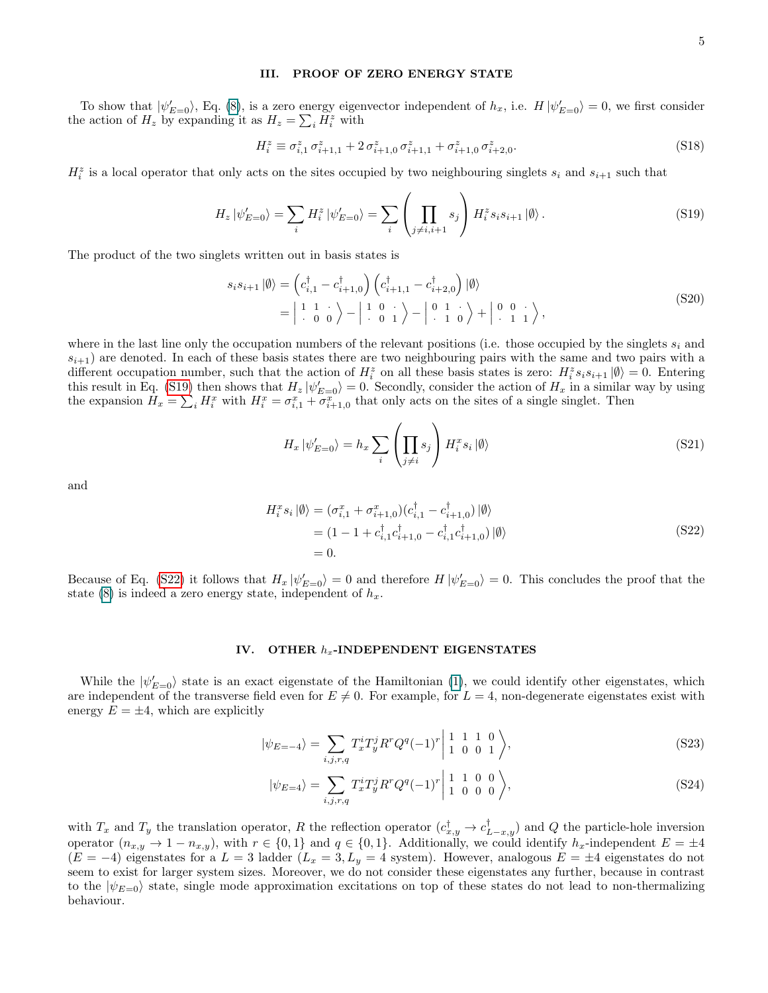### III. PROOF OF ZERO ENERGY STATE

To show that  $|\psi'_{E=0}\rangle$ , Eq. (8), is a zero energy eigenvector independent of  $h_x$ , i.e.  $H|\psi'_{E=0}\rangle = 0$ , we first consider the action of  $H_z$  by expanding it as  $H_z = \sum_i H_i^z$  with

$$
H_i^z \equiv \sigma_{i,1}^z \,\sigma_{i+1,1}^z + 2\,\sigma_{i+1,0}^z \,\sigma_{i+1,1}^z + \sigma_{i+1,0}^z \,\sigma_{i+2,0}^z.
$$
 (S18)

 $H_i^z$  is a local operator that only acts on the sites occupied by two neighbouring singlets  $s_i$  and  $s_{i+1}$  such that

<span id="page-4-0"></span>
$$
H_z |\psi'_{E=0}\rangle = \sum_i H_i^z |\psi'_{E=0}\rangle = \sum_i \left( \prod_{j \neq i, i+1} s_j \right) H_i^z s_i s_{i+1} |\emptyset\rangle.
$$
 (S19)

The product of the two singlets written out in basis states is

$$
s_i s_{i+1} |\emptyset\rangle = \left(c_{i,1}^\dagger - c_{i+1,0}^\dagger\right) \left(c_{i+1,1}^\dagger - c_{i+2,0}^\dagger\right) |\emptyset\rangle
$$
  
=  $\begin{vmatrix} 1 & 1 & \cdot \\ \cdot & 0 & 0 \end{vmatrix} - \begin{vmatrix} 1 & 0 & \cdot \\ \cdot & 0 & 1 \end{vmatrix} - \begin{vmatrix} 0 & 1 & \cdot \\ \cdot & 1 & 0 \end{vmatrix} + \begin{vmatrix} 0 & 0 & \cdot \\ \cdot & 1 & 1 \end{vmatrix},$  (S20)

where in the last line only the occupation numbers of the relevant positions (i.e. those occupied by the singlets  $s_i$  and  $s_{i+1}$ ) are denoted. In each of these basis states there are two neighbouring pairs with the same and two pairs with a different occupation number, such that the action of  $H_i^z$  on all these basis states is zero:  $H_i^z s_i s_{i+1} | \emptyset \rangle = 0$ . Entering this result in Eq. [\(S19\)](#page-4-0) then shows that  $H_z |\psi'_{E=0}\rangle = 0$ . Secondly, consider the action of  $H_x$  in a similar way by using the expansion  $H_x = \sum_i H_i^x$  with  $H_i^x = \sigma_{i,1}^x + \sigma_{i+1,0}^x$  that only acts on the sites of a single singlet. Then

$$
H_x \left| \psi'_{E=0} \right\rangle = h_x \sum_i \left( \prod_{j \neq i} s_j \right) H_i^x s_i \left| \emptyset \right\rangle \tag{S21}
$$

and

<span id="page-4-1"></span>
$$
H_i^x s_i |\emptyset\rangle = (\sigma_{i,1}^x + \sigma_{i+1,0}^x)(c_{i,1}^\dagger - c_{i+1,0}^\dagger) |\emptyset\rangle
$$
  
= (1 - 1 + c\_{i,1}^\dagger c\_{i+1,0}^\dagger - c\_{i,1}^\dagger c\_{i+1,0}^\dagger) |\emptyset\rangle  
= 0. (S22)

Because of Eq. [\(S22\)](#page-4-1) it follows that  $H_x |\psi'_{E=0}\rangle = 0$  and therefore  $H |\psi'_{E=0}\rangle = 0$ . This concludes the proof that the state (8) is indeed a zero energy state, independent of  $h_x$ .

### IV. OTHER  $h_x$ -INDEPENDENT EIGENSTATES

While the  $|\psi'_{E=0}\rangle$  state is an exact eigenstate of the Hamiltonian (1), we could identify other eigenstates, which are independent of the transverse field even for  $E \neq 0$ . For example, for  $L = 4$ , non-degenerate eigenstates exist with energy  $E = \pm 4$ , which are explicitly

$$
|\psi_{E=-4}\rangle = \sum_{i,j,r,q} T_x^i T_y^j R^r Q^q (-1)^r \left| \begin{array}{ccc} 1 & 1 & 1 & 0 \\ 1 & 0 & 0 & 1 \end{array} \right\rangle, \tag{S23}
$$

$$
|\psi_{E=4}\rangle = \sum_{i,j,r,q} T_x^i T_y^j R^r Q^q (-1)^r \begin{vmatrix} 1 & 1 & 0 & 0 \\ 1 & 0 & 0 & 0 \end{vmatrix},
$$
\n(S24)

with  $T_x$  and  $T_y$  the translation operator, R the reflection operator  $(c_{x,y}^{\dagger} \to c_{L-x,y}^{\dagger})$  and Q the particle-hole inversion operator  $(n_{x,y} \to 1 - n_{x,y})$ , with  $r \in \{0,1\}$  and  $q \in \{0,1\}$ . Additionally, we could identify  $h_x$ -independent  $E = \pm 4$  $(E = -4)$  eigenstates for a  $L = 3$  ladder  $(L_x = 3, L_y = 4$  system). However, analogous  $E = \pm 4$  eigenstates do not seem to exist for larger system sizes. Moreover, we do not consider these eigenstates any further, because in contrast to the  $|\psi_{E=0}\rangle$  state, single mode approximation excitations on top of these states do not lead to non-thermalizing behaviour.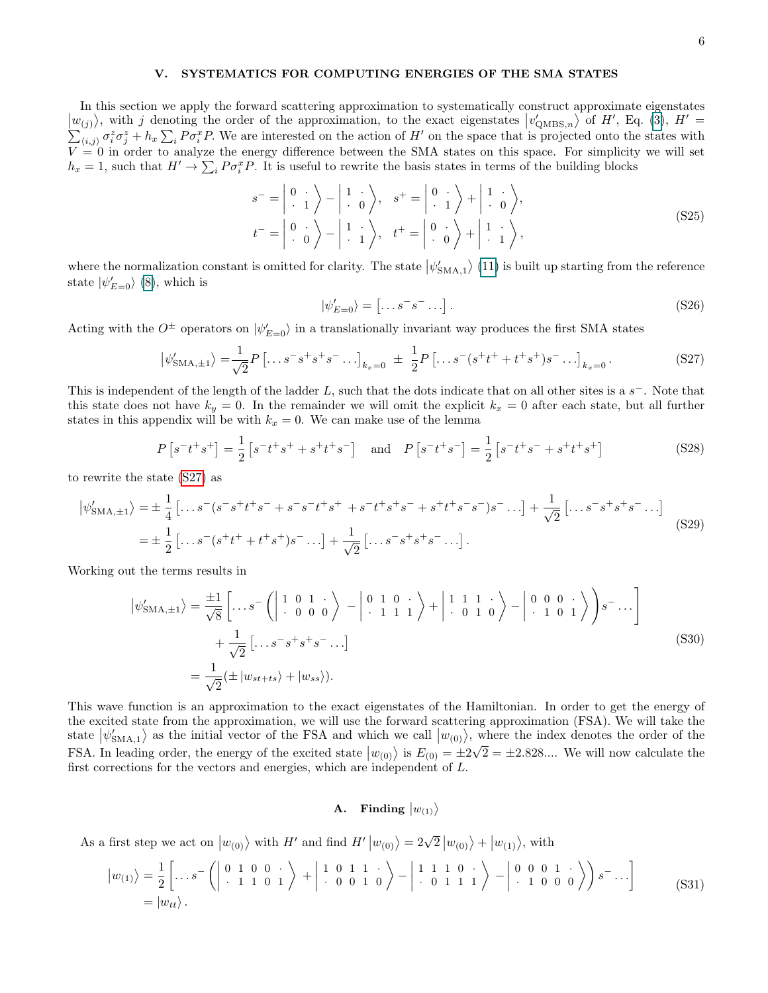## V. SYSTEMATICS FOR COMPUTING ENERGIES OF THE SMA STATES

In this section we apply the forward scattering approximation to systematically construct approximate eigenstates  $|w_{(j)}\rangle$ , with j denoting the order of the approximation, to the exact eigenstates  $|v'_{\text{QMBS},n}\rangle$  of H', Eq. (3), H'  $\sum_{i,j} \sigma_i^z \sigma_j^z + h_x \sum_i P \sigma_i^x P$ . We are interested on the action of H' on the space that is projected onto the states with  $V = 0$  in order to analyze the energy difference between the SMA states on this space. For simplicity we will set  $h_x = 1$ , such that  $H' \to \sum_i P \sigma_i^x P$ . It is useful to rewrite the basis states in terms of the building blocks

$$
s^{-} = \begin{vmatrix} 0 & \cdot \\ \cdot & 1 \end{vmatrix} - \begin{vmatrix} 1 & \cdot \\ \cdot & 0 \end{vmatrix}, \quad s^{+} = \begin{vmatrix} 0 & \cdot \\ \cdot & 1 \end{vmatrix} + \begin{vmatrix} 1 & \cdot \\ \cdot & 0 \end{vmatrix},
$$
  
\n
$$
t^{-} = \begin{vmatrix} 0 & \cdot \\ \cdot & 0 \end{vmatrix} - \begin{vmatrix} 1 & \cdot \\ \cdot & 1 \end{vmatrix}, \quad t^{+} = \begin{vmatrix} 0 & \cdot \\ \cdot & 0 \end{vmatrix} + \begin{vmatrix} 1 & \cdot \\ \cdot & 1 \end{vmatrix},
$$
 (S25)

where the normalization constant is omitted for clarity. The state  $|\psi_{\text{SMA},1}'\rangle$  (11) is built up starting from the reference state  $|\psi'_{E=0}\rangle$  (8), which is

<span id="page-5-0"></span>
$$
|\psi'_{E=0}\rangle = \left[ \dots s^- s^- \dots \right]. \tag{S26}
$$

Acting with the  $O^{\pm}$  operators on  $|\psi'_{E=0}\rangle$  in a translationally invariant way produces the first SMA states

$$
\left|\psi'_{\text{SMA},\pm 1}\right\rangle = \frac{1}{\sqrt{2}} P\left[\dots s^- s^+ s^+ s^-\dots\right]_{k_x=0} \ \pm \ \frac{1}{2} P\left[\dots s^-(s^+ t^+ + t^+ s^+) s^-\dots\right]_{k_x=0}.\tag{S27}
$$

This is independent of the length of the ladder  $L$ , such that the dots indicate that on all other sites is a  $s^-$ . Note that this state does not have  $k_y = 0$ . In the remainder we will omit the explicit  $k_x = 0$  after each state, but all further states in this appendix will be with  $k_x = 0$ . We can make use of the lemma

$$
P\left[s^{-}t^{+}s^{+}\right] = \frac{1}{2}\left[s^{-}t^{+}s^{+} + s^{+}t^{+}s^{-}\right] \quad \text{and} \quad P\left[s^{-}t^{+}s^{-}\right] = \frac{1}{2}\left[s^{-}t^{+}s^{-} + s^{+}t^{+}s^{+}\right] \tag{S28}
$$

to rewrite the state [\(S27\)](#page-5-0) as

$$
\begin{split} \left| \psi'_{\text{SMA},\pm 1} \right\rangle &= \pm \frac{1}{4} \left[ \dots s^-(s^-s^+t^+s^- + s^-s^-t^+s^+ + s^-t^+s^+s^- + s^+t^+s^-s^-)s^- \dots \right] + \frac{1}{\sqrt{2}} \left[ \dots s^-s^+s^+s^- \dots \right] \\ &= \pm \frac{1}{2} \left[ \dots s^-(s^+t^+ + t^+s^+)s^- \dots \right] + \frac{1}{\sqrt{2}} \left[ \dots s^-s^+s^+s^- \dots \right]. \end{split} \tag{S29}
$$

Working out the terms results in

$$
\left|\psi'_{\text{SMA},\pm1}\right\rangle = \frac{\pm 1}{\sqrt{8}} \left[ \dots s^{-} \left( \begin{vmatrix} 1 & 0 & 1 & \cdot \\ \cdot & 0 & 0 & 0 \end{vmatrix} \right) - \begin{vmatrix} 0 & 1 & 0 & \cdot \\ \cdot & 1 & 1 & 1 \end{vmatrix} + \begin{vmatrix} 1 & 1 & 1 & \cdot \\ \cdot & 0 & 1 & 0 \end{vmatrix} \right) - \begin{vmatrix} 0 & 0 & 0 & \cdot \\ \cdot & 1 & 0 & 1 \end{vmatrix} \right) s^{-} \dots \bigg]
$$
  
+ 
$$
\frac{1}{\sqrt{2}} \left[ \dots s^{-} s^{+} s^{+} s^{-} \dots \right]
$$
  
= 
$$
\frac{1}{\sqrt{2}} (\pm \left| w_{st+ts} \right\rangle + \left| w_{ss} \right\rangle).
$$
 (S30)

This wave function is an approximation to the exact eigenstates of the Hamiltonian. In order to get the energy of the excited state from the approximation, we will use the forward scattering approximation (FSA). We will take the state  $|\psi_{\text{SMA},1}'\rangle$  as the initial vector of the FSA and which we call  $|w_{(0)}\rangle$ , where the index denotes the order of the FSA. In leading order, the energy of the excited state  $|w_{(0)}\rangle$  is  $E_{(0)} = \pm 2\sqrt{2} = \pm 2.828...$  We will now calculate the first corrections for the vectors and energies, which are independent of L.

# A. Finding  $\big|w_{(1)}\big>$

As a first step we act on  $|w_{(0)}\rangle$  with H' and find  $H' |w_{(0)}\rangle = 2\sqrt{2} |w_{(0)}\rangle + |w_{(1)}\rangle$ , with

$$
\begin{aligned} \left| w_{(1)} \right\rangle &= \frac{1}{2} \left[ \dots s^{-} \left( \left| \begin{array}{cc} 0 & 1 & 0 & 0 \\ 0 & 1 & 1 & 0 \\ 0 & 1 & 1 & 0 \end{array} \right) + \left| \begin{array}{cc} 1 & 0 & 1 & 1 \\ 0 & 0 & 1 & 0 \\ 0 & 0 & 1 & 1 \end{array} \right) - \left| \begin{array}{cc} 1 & 1 & 1 & 0 \\ 0 & 1 & 1 & 1 \end{array} \right) - \left| \begin{array}{cc} 0 & 0 & 0 & 1 \\ 0 & 1 & 0 & 0 \\ 0 & 0 & 0 & 0 \end{array} \right) \right\rangle s^{-} \dots \end{aligned} \tag{S31}
$$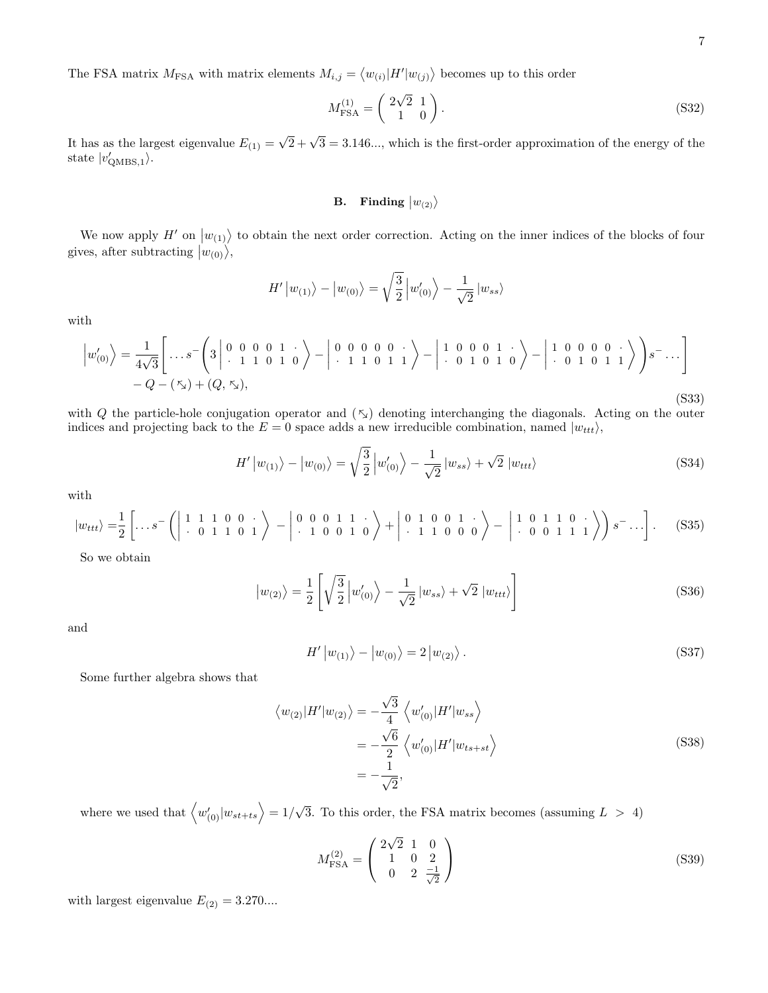The FSA matrix  $M_{\text{FSA}}$  with matrix elements  $M_{i,j} = \langle w_{(i)} | H' | w_{(j)} \rangle$  becomes up to this order

$$
M_{\text{FSA}}^{(1)} = \begin{pmatrix} 2\sqrt{2} & 1 \\ 1 & 0 \end{pmatrix}.
$$
 (S32)

It has as the largest eigenvalue  $E_{(1)} =$  $\sqrt{2} + \sqrt{3} = 3.146...$ , which is the first-order approximation of the energy of the state  $|v'_{\text{QMBS},1}\rangle$ .

# $\textbf{B.} \quad \textbf{Finding} \; \big| w_{(2)} \big\rangle$

We now apply  $H'$  on  $|w_{(1)}\rangle$  to obtain the next order correction. Acting on the inner indices of the blocks of four gives, after subtracting  $|w_{(0)}\rangle$ ,

$$
H' |w_{(1)}\rangle - |w_{(0)}\rangle = \sqrt{\frac{3}{2}} |w'_{(0)}\rangle - \frac{1}{\sqrt{2}} |w_{ss}\rangle
$$

with

$$
\left|w'_{(0)}\right\rangle = \frac{1}{4\sqrt{3}} \left[ \dots s^{-}\left(3\left|\begin{array}{cccc} 0 & 0 & 0 & 1 & \cdot \\ \cdot & 1 & 1 & 0 & 1 & 0 \end{array}\right\rangle - \left|\begin{array}{cccc} 0 & 0 & 0 & 0 & \cdot \\ \cdot & 1 & 1 & 0 & 1 & 1 \end{array}\right\rangle - \left|\begin{array}{cccc} 1 & 0 & 0 & 0 & 1 & \cdot \\ \cdot & 0 & 1 & 0 & 1 & 0 \end{array}\right\rangle - \left|\begin{array}{cccc} 1 & 0 & 0 & 0 & 0 & \cdot \\ \cdot & 0 & 1 & 0 & 1 & 1 \end{array}\right\rangle\right) s^{-} \dots \right]
$$
  
-Q - (\mathbf{x}) + (Q, \mathbf{x}), (S33)

with Q the particle-hole conjugation operator and  $(\kappa)$  denoting interchanging the diagonals. Acting on the outer indices and projecting back to the  $E = 0$  space adds a new irreducible combination, named  $|w_{ttt}\rangle$ ,

$$
H' |w_{(1)}\rangle - |w_{(0)}\rangle = \sqrt{\frac{3}{2}} |w'_{(0)}\rangle - \frac{1}{\sqrt{2}} |w_{ss}\rangle + \sqrt{2} |w_{ttt}\rangle
$$
 (S34)

with

$$
|w_{ttt}\rangle = \frac{1}{2} \left[ \dots s^{-} \left( \left| \begin{array}{rrr} 1 & 1 & 1 & 0 & 0 \\ 0 & 1 & 1 & 0 & 1 \end{array} \right| \right) - \left| \begin{array}{rrr} 0 & 0 & 0 & 1 & 1 \\ 0 & 1 & 0 & 0 & 1 \end{array} \right| + \left| \begin{array}{rrr} 0 & 1 & 0 & 0 & 1 \\ 0 & 1 & 1 & 0 & 0 \end{array} \right| - \left| \begin{array}{rrr} 1 & 0 & 1 & 1 & 0 \\ 0 & 0 & 1 & 1 & 1 \end{array} \right| \right) s^{-} \dots \right]. \tag{S35}
$$

So we obtain

$$
|w_{(2)}\rangle = \frac{1}{2} \left[ \sqrt{\frac{3}{2}} \left| w'_{(0)} \right\rangle - \frac{1}{\sqrt{2}} \left| w_{ss} \right\rangle + \sqrt{2} \left| w_{ttt} \right\rangle \right]
$$
(S36)

and

$$
H' |w_{(1)}\rangle - |w_{(0)}\rangle = 2 |w_{(2)}\rangle.
$$
 (S37)

Some further algebra shows that

$$
\langle w_{(2)}|H'|w_{(2)}\rangle = -\frac{\sqrt{3}}{4} \langle w'_{(0)}|H'|w_{ss}\rangle
$$
  

$$
= -\frac{\sqrt{6}}{2} \langle w'_{(0)}|H'|w_{ts+st}\rangle
$$
  

$$
= -\frac{1}{\sqrt{2}},
$$
 (S38)

where we used that  $\langle w'_{(0)}|w_{st+ts}\rangle = 1/$ √ 3. To this order, the FSA matrix becomes (assuming  $L > 4$ )

$$
M_{\text{FSA}}^{(2)} = \begin{pmatrix} 2\sqrt{2} & 1 & 0 \\ 1 & 0 & 2 \\ 0 & 2 & \frac{-1}{\sqrt{2}} \end{pmatrix}
$$
 (S39)

with largest eigenvalue  $E_{(2)} = 3.270...$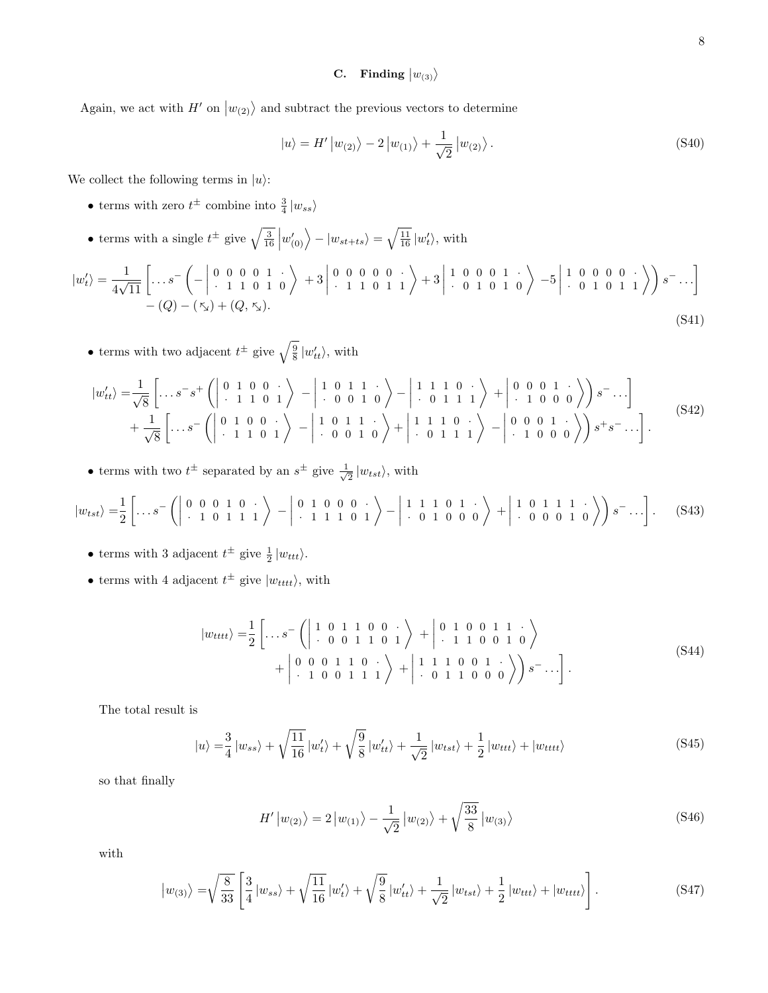# $\mathrm{\textbf{C.}} \quad \textbf{Finding} \; \big| w_{(3)} \big\rangle$

Again, we act with  $H'$  on  $|w_{(2)}\rangle$  and subtract the previous vectors to determine

$$
|u\rangle = H' |w_{(2)}\rangle - 2 |w_{(1)}\rangle + \frac{1}{\sqrt{2}} |w_{(2)}\rangle.
$$
 (S40)

We collect the following terms in  $|u\rangle$ :

- terms with zero  $t^{\pm}$  combine into  $\frac{3}{4} |w_{ss}\rangle$
- terms with a single  $t^{\pm}$  give  $\sqrt{\frac{3}{16}} |w'(0)\rangle |w_{st+ts}\rangle = \sqrt{\frac{11}{16}} |w'_t\rangle$ , with

$$
|w'_t\rangle = \frac{1}{4\sqrt{11}} \left[ \dots s^{-} \left( - \begin{vmatrix} 0 & 0 & 0 & 0 & 1 \\ 0 & 1 & 1 & 0 & 1 \\ 0 & 0 & 0 & 0 & 0 \\ 0 & 0 & 0 & 0 & 0 \end{vmatrix} + 3 \begin{vmatrix} 0 & 0 & 0 & 0 & 0 \\ 0 & 1 & 1 & 0 & 1 \\ 0 & 1 & 0 & 1 & 0 \end{vmatrix} + 3 \begin{vmatrix} 1 & 0 & 0 & 0 & 1 \\ 0 & 0 & 1 & 0 & 1 \\ 0 & 0 & 1 & 0 & 1 \end{vmatrix} \right) s^{-} \dots \right]
$$
  
-
$$
(Q) - (\mathcal{F}_x) + (Q, \mathcal{F}_x).
$$
 (S41)

• terms with two adjacent  $t^{\pm}$  give  $\sqrt{\frac{9}{8}} |w'_{tt}\rangle$ , with

$$
|w'_{tt}\rangle = \frac{1}{\sqrt{8}} \left[ \dots s^{-} s^{+} \left( \begin{array}{ccc} 0 & 1 & 0 & 0 \\ 0 & 1 & 1 & 0 \\ 0 & 1 & 1 & 0 \end{array} \right) - \begin{array}{ccc} 1 & 0 & 1 & 1 \\ 0 & 0 & 1 & 0 \\ 0 & 0 & 1 & 0 \end{array} \right\rangle - \begin{array}{ccc} 1 & 1 & 1 & 0 \\ 0 & 0 & 1 & 1 \\ 0 & 0 & 1 & 1 \end{array} \right\rangle + \begin{array}{ccc} 0 & 0 & 0 & 1 \\ 0 & 1 & 0 & 0 \\ 0 & 0 & 1 & 0 \end{array} \right\rangle s^{-} \dots \Bigg] + \frac{1}{\sqrt{8}} \left[ \dots s^{-} \left( \begin{array}{ccc} 0 & 1 & 0 & 0 \\ 0 & 1 & 0 & 0 \\ 0 & 1 & 1 & 0 \\ 0 & 0 & 1 & 0 \end{array} \right) + \begin{array}{ccc} 1 & 1 & 1 & 0 \\ 0 & 0 & 1 & 1 \\ 0 & 1 & 1 & 1 \end{array} \right\rangle + \begin{array}{ccc} 1 & 1 & 1 & 0 \\ 0 & 1 & 1 & 1 \\ 0 & 1 & 1 & 1 \end{array} \right) - \begin{array}{ccc} 0 & 0 & 0 & 1 \\ 0 & 1 & 1 & 1 \\ 0 & 1 & 1 & 1 \end{array} \right\rangle + \begin{array}{ccc} 0 & 0 & 0 & 1 \\ 0 & 1 & 1 & 1 \\ 0 & 1 & 1 & 1 \end{array} \right\rangle \tag{S42}
$$

• terms with two  $t^{\pm}$  separated by an  $s^{\pm}$  give  $\frac{1}{4}$  $\frac{1}{2}$   $|w_{tst}\rangle$ , with

$$
|w_{tst}\rangle = \frac{1}{2} \left[ \dots s^{-} \left( \begin{array}{cccccc} 0 & 0 & 0 & 1 & 0 & \cdot \\ \cdot & 1 & 0 & 1 & 1 & 1 \end{array} \right) - \begin{array}{cccccc} 0 & 1 & 0 & 0 & 0 & \cdot \\ \cdot & 1 & 1 & 1 & 0 & 1 \end{array} \right) - \begin{array}{cccccc} 1 & 1 & 1 & 0 & 1 & \cdot \\ \cdot & 0 & 1 & 0 & 0 & 0 \end{array} \right) + \begin{array}{cccccc} 1 & 0 & 1 & 1 & 1 & \cdot \\ \cdot & 0 & 0 & 0 & 1 & 0 \end{array} \right) s^{-} \dots \bigg]. \tag{S43}
$$

- terms with 3 adjacent  $t^{\pm}$  give  $\frac{1}{2} |w_{ttt}\rangle$ .
- terms with 4 adjacent  $t^{\pm}$  give  $|w_{tttt}\rangle$ , with

$$
|w_{tttt}\rangle = \frac{1}{2} \left[ \dots s^{-} \left( \begin{array}{cccc} 1 & 0 & 1 & 1 & 0 & 0 & \cdot \\ \cdot & 0 & 0 & 1 & 1 & 0 & 1 \\ 0 & 0 & 0 & 1 & 1 & 0 & \cdot \\ \cdot & 1 & 0 & 0 & 1 & 1 & 1 \end{array} \right) + \begin{array}{cccc} 0 & 1 & 0 & 0 & 1 & 1 & \cdot \\ \cdot & 1 & 1 & 0 & 0 & 1 & 0 \\ \cdot & 0 & 1 & 1 & 0 & \cdot \\ \cdot & 0 & 1 & 1 & 0 & 0 & 0 \end{array} \right) s^{-} \dots \right].
$$
 (S44)

The total result is

$$
|u\rangle = \frac{3}{4} |w_{ss}\rangle + \sqrt{\frac{11}{16}} |w'_t\rangle + \sqrt{\frac{9}{8}} |w'_{tt}\rangle + \frac{1}{\sqrt{2}} |w_{tst}\rangle + \frac{1}{2} |w_{ttt}\rangle + |w_{tttt}\rangle
$$
 (S45)

so that finally

$$
H' |w_{(2)}\rangle = 2 |w_{(1)}\rangle - \frac{1}{\sqrt{2}} |w_{(2)}\rangle + \sqrt{\frac{33}{8}} |w_{(3)}\rangle
$$
 (S46)

with

$$
|w_{(3)}\rangle = \sqrt{\frac{8}{33}} \left[ \frac{3}{4} |w_{ss}\rangle + \sqrt{\frac{11}{16}} |w'_t\rangle + \sqrt{\frac{9}{8}} |w'_{tt}\rangle + \frac{1}{\sqrt{2}} |w_{tst}\rangle + \frac{1}{2} |w_{ttt}\rangle + |w_{tttt}\rangle \right].
$$
 (S47)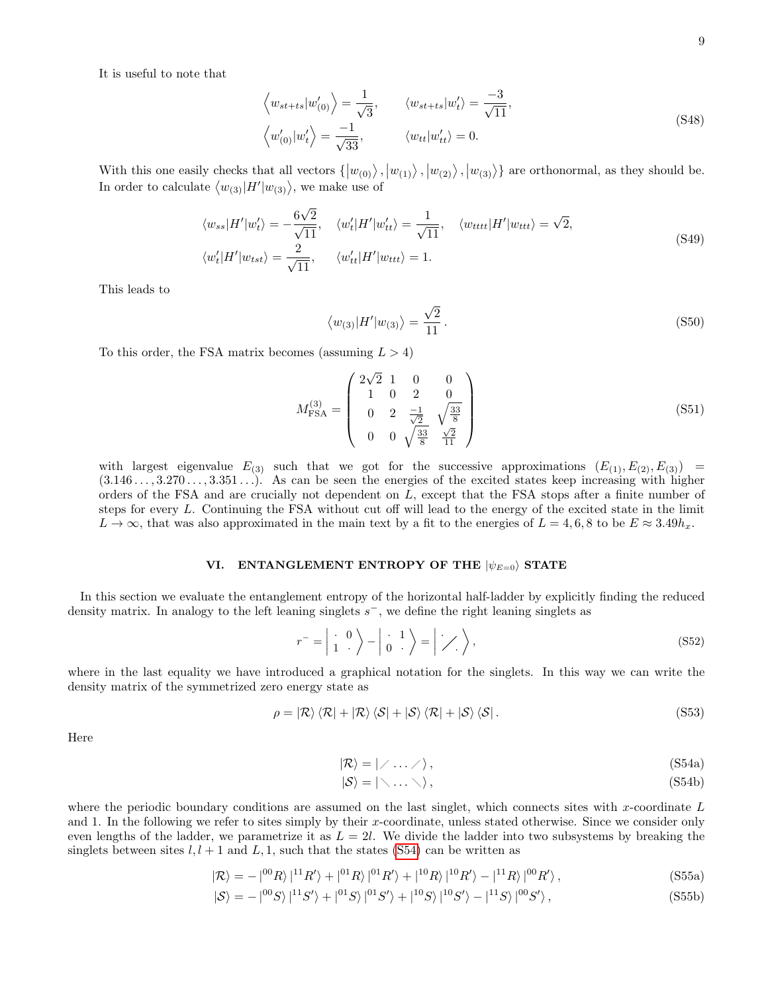It is useful to note that

$$
\left\langle w_{st+ts} | w'_{(0)} \right\rangle = \frac{1}{\sqrt{3}}, \qquad \left\langle w_{st+ts} | w'_{t} \right\rangle = \frac{-3}{\sqrt{11}},
$$
\n
$$
\left\langle w'_{(0)} | w'_{t} \right\rangle = \frac{-1}{\sqrt{33}}, \qquad \left\langle w_{tt} | w'_{tt} \right\rangle = 0.
$$
\n(S48)

With this one easily checks that all vectors  $\{ |w_{(0)}\rangle, |w_{(1)}\rangle, |w_{(2)}\rangle, |w_{(3)}\rangle\}$  are orthonormal, as they should be. In order to calculate  $\langle w_{(3)}|H'|w_{(3)}\rangle$ , we make use of

$$
\langle w_{ss}|H'|w_{t}'\rangle = -\frac{6\sqrt{2}}{\sqrt{11}}, \quad \langle w_{t}'|H'|w_{tt}'\rangle = \frac{1}{\sqrt{11}}, \quad \langle w_{tttt}|H'|w_{ttt}\rangle = \sqrt{2},
$$
  

$$
\langle w_{t}'|H'|w_{tst}\rangle = \frac{2}{\sqrt{11}}, \quad \langle w_{tt}'|H'|w_{ttt}\rangle = 1.
$$
 (S49)

This leads to

$$
\langle w_{(3)}|H'|w_{(3)}\rangle = \frac{\sqrt{2}}{11}.
$$
\n(S50)

To this order, the FSA matrix becomes (assuming  $L > 4$ )

$$
M_{\text{FSA}}^{(3)} = \begin{pmatrix} 2\sqrt{2} & 1 & 0 & 0 \\ 1 & 0 & 2 & 0 \\ 0 & 2 & \frac{-1}{\sqrt{2}} & \sqrt{\frac{33}{8}} \\ 0 & 0 & \sqrt{\frac{33}{8}} & \frac{\sqrt{2}}{11} \end{pmatrix}
$$
(S51)

with largest eigenvalue  $E_{(3)}$  such that we got for the successive approximations  $(E_{(1)}, E_{(2)}, E_{(3)}) =$  $(3.146\dots, 3.270\dots, 3.351\dots)$ . As can be seen the energies of the excited states keep increasing with higher orders of the FSA and are crucially not dependent on L, except that the FSA stops after a finite number of steps for every L. Continuing the FSA without cut off will lead to the energy of the excited state in the limit  $L \to \infty$ , that was also approximated in the main text by a fit to the energies of  $L = 4, 6, 8$  to be  $E \approx 3.49 h_x$ .

## VI. ENTANGLEMENT ENTROPY OF THE  $|\psi_{E=0}\rangle$  STATE

In this section we evaluate the entanglement entropy of the horizontal half-ladder by explicitly finding the reduced density matrix. In analogy to the left leaning singlets  $s^-$ , we define the right leaning singlets as

$$
r^{-} = \begin{vmatrix} \cdot & 0 \\ 1 & \cdot \end{vmatrix} - \begin{vmatrix} \cdot & 1 \\ 0 & \cdot \end{vmatrix} = \begin{vmatrix} \cdot & 1 \\ \cdot & \cdot \end{vmatrix},
$$
 (S52)

where in the last equality we have introduced a graphical notation for the singlets. In this way we can write the density matrix of the symmetrized zero energy state as

<span id="page-8-1"></span>
$$
\rho = \left| \mathcal{R} \right\rangle \left\langle \mathcal{R} \right| + \left| \mathcal{R} \right\rangle \left\langle \mathcal{S} \right| + \left| \mathcal{S} \right\rangle \left\langle \mathcal{R} \right| + \left| \mathcal{S} \right\rangle \left\langle \mathcal{S} \right|.
$$
 (S53)

<span id="page-8-0"></span>Here

$$
|\mathcal{R}\rangle = |\angle \dots \angle \rangle, \tag{S54a}
$$

$$
|\mathcal{S}\rangle = |\langle \dots \rangle\rangle, \tag{S54b}
$$

where the periodic boundary conditions are assumed on the last singlet, which connects sites with x-coordinate  $L$ and 1. In the following we refer to sites simply by their x-coordinate, unless stated otherwise. Since we consider only even lengths of the ladder, we parametrize it as  $L = 2l$ . We divide the ladder into two subsystems by breaking the singlets between sites  $l, l + 1$  and  $L, 1$ , such that the states [\(S54\)](#page-8-0) can be written as

$$
|\mathcal{R}\rangle = -|{}^{00}R\rangle\,|{}^{11}R'\rangle + |{}^{01}R\rangle\,|{}^{01}R'\rangle + |{}^{10}R\rangle\,|{}^{10}R'\rangle - |{}^{11}R\rangle\,|{}^{00}R'\rangle\,,\tag{S55a}
$$

$$
|\mathcal{S}\rangle = -|^{00}S\rangle|^{11}S'\rangle + |^{01}S\rangle|^{01}S'\rangle + |^{10}S\rangle|^{10}S'\rangle - |^{11}S\rangle|^{00}S'\rangle, \qquad (S55b)
$$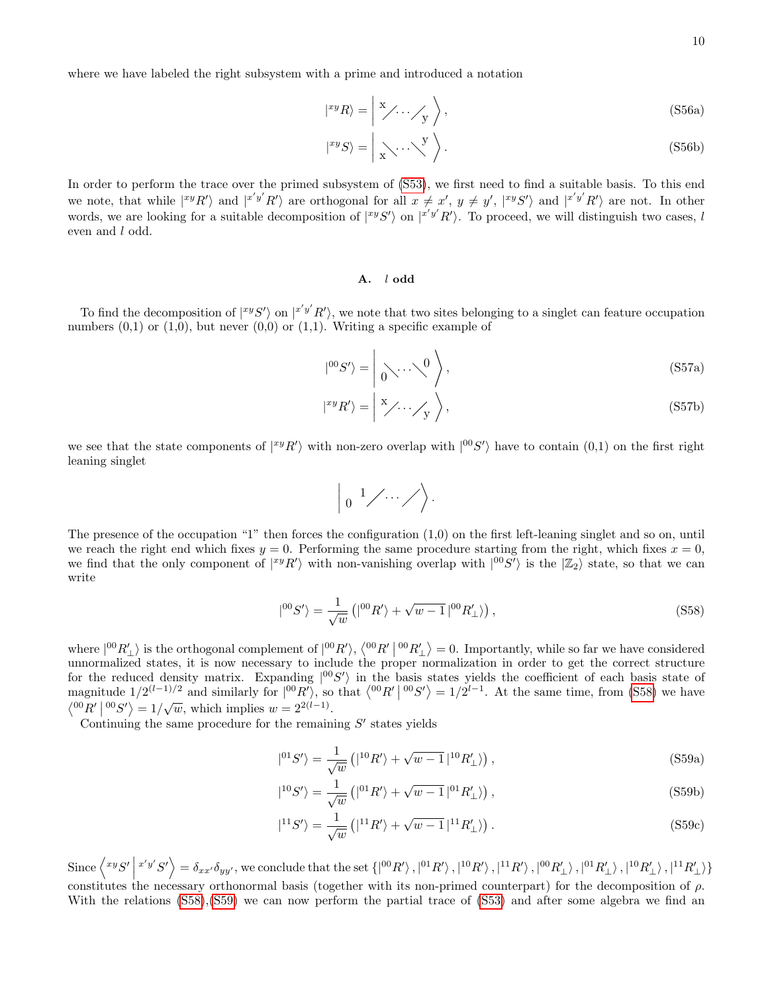where we have labeled the right subsystem with a prime and introduced a notation

| xyRi = x y . . . , (S56a)

$$
|^{xy}S\rangle = \left| \bigwedge_{x} \cdots \bigvee_{x} \right\rangle. \tag{S56b}
$$

In order to perform the trace over the primed subsystem of [\(S53\)](#page-8-1), we first need to find a suitable basis. To this end we note, that while  $\ket{^{xy}R'}$  and  $\ket{^{x'y'}R'}$  are orthogonal for all  $x \neq x'$ ,  $y \neq y'$ ,  $\ket{^{xy}S'}$  and  $\ket{^{x'y'}R'}$  are not. In other words, we are looking for a suitable decomposition of  $\ket{^{xy}S'}$  on  $\ket{^{x'y'}R'}$ . To proceed, we will distinguish two cases, l even and l odd.

## A. l odd

To find the decomposition of  $\ket{^{xy}S'}$  on  $\ket{^{x'y'}R'}$ , we note that two sites belonging to a singlet can feature occupation numbers  $(0,1)$  or  $(1,0)$ , but never  $(0,0)$  or  $(1,1)$ . Writing a specific example of

$$
|^{00}S'\rangle = \left| \bigcirc \cdots \bigcirc \bigcirc \right|,
$$
\n(S57a)

$$
|^{xy}R'\rangle = |X'\rangle \cdot \cdot \cdot \cdot /Y\rangle, \qquad (S57b)
$$

we see that the state components of  $|^{xy}R'\rangle$  with non-zero overlap with  $|^{00}S'\rangle$  have to contain  $(0,1)$  on the first right leaning singlet

$$
\Big| \begin{array}{c} 1 \end{array} \Big| \Big\langle \cdots \Big| \Big\rangle.
$$

The presence of the occupation "1" then forces the configuration  $(1,0)$  on the first left-leaning singlet and so on, until we reach the right end which fixes  $y = 0$ . Performing the same procedure starting from the right, which fixes  $x = 0$ , we find that the only component of  $|^{xy}R'\rangle$  with non-vanishing overlap with  $|^{00}S'\rangle$  is the  $|\mathbb{Z}_2\rangle$  state, so that we can write

<span id="page-9-0"></span>
$$
|^{00}S'\rangle = \frac{1}{\sqrt{w}}\left(|^{00}R'\rangle + \sqrt{w-1}\left|^{00}R'_{\perp}\right\rangle\right),\tag{S58}
$$

where  $|^{00}R'_{\perp}\rangle$  is the orthogonal complement of  $|^{00}R'\rangle$ ,  $\langle^{00}R' |^{00}R'_{\perp}\rangle = 0$ . Importantly, while so far we have considered unnormalized states, it is now necessary to include the proper normalization in order to get the correct structure for the reduced density matrix. Expanding  $|^{00}S'\rangle$  in the basis states yields the coefficient of each basis state of magnitude  $1/2^{(l-1)/2}$  and similarly for  $\left|^{00}R'\right\rangle$ , so that  $\left\langle^{00}R'\right|^{00}S'\right\rangle = 1/2^{l-1}$ . At the same time, from [\(S58\)](#page-9-0) we have  $\langle 00R' | 00S' \rangle = 1/\sqrt{w}$ , which implies  $w = 2^{2(l-1)}$ .

Continuing the same procedure for the remaining  $S'$  states yields

<span id="page-9-1"></span>
$$
|^{01}S'\rangle = \frac{1}{\sqrt{w}} \left( |^{10}R'\rangle + \sqrt{w-1} \, |^{10}R'_{\perp} \rangle \right),\tag{S59a}
$$

$$
|^{10}S'\rangle = \frac{1}{\sqrt{w}}\left(|^{01}R'\rangle + \sqrt{w-1}\left|^{01}R'_{\perp}\right\rangle\right),\tag{S59b}
$$

$$
|^{11}S'\rangle = \frac{1}{\sqrt{w}}\left(|^{11}R'\rangle + \sqrt{w-1}\,|^{11}R'_{\perp}\rangle\right). \tag{S59c}
$$

Since  $\left\langle xyS'\right|$  $\langle x'y'S'\rangle = \delta_{xx'}\delta_{yy'},$  we conclude that the set  $\{|^{00}R'\rangle\,,|^{01}R'\rangle\,,|^{10}R'\rangle\,,|^{11}R'\rangle\,,|^{00}R'_{\perp}\rangle\,,|^{01}R'_{\perp}\rangle\,,|^{10}R'_{\perp}\rangle\,,|^{11}R'_{\perp}\rangle\}$ constitutes the necessary orthonormal basis (together with its non-primed counterpart) for the decomposition of  $\rho$ . With the relations [\(S58\)](#page-9-0),[\(S59\)](#page-9-1) we can now perform the partial trace of [\(S53\)](#page-8-1) and after some algebra we find an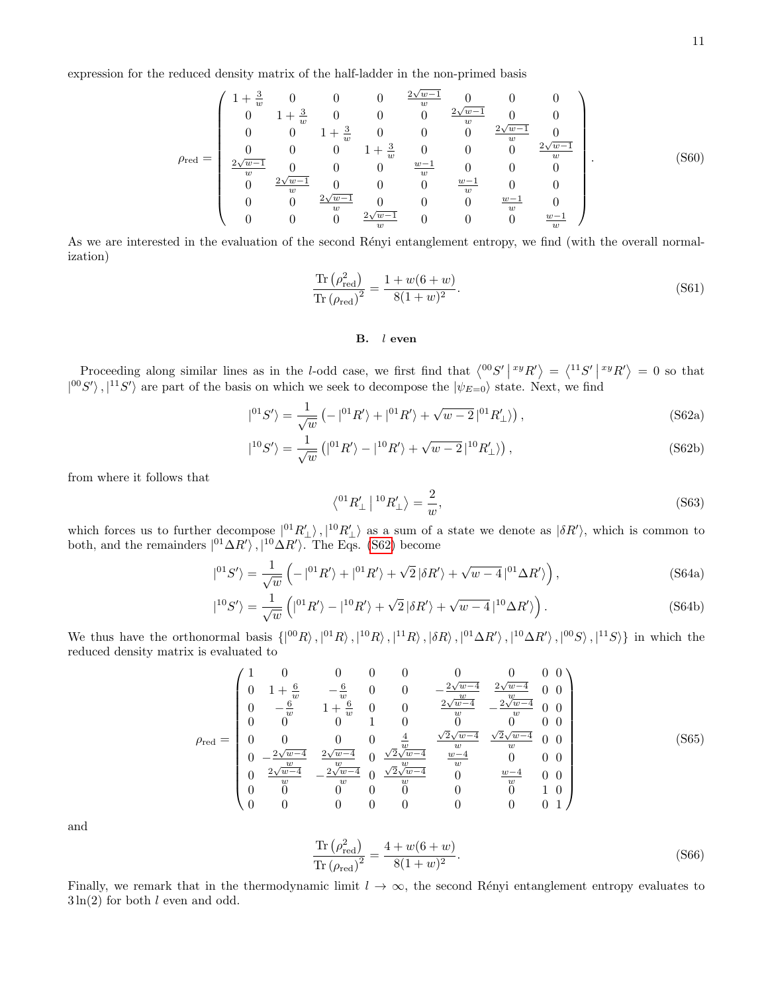expression for the reduced density matrix of the half-ladder in the non-primed basis

$$
\rho_{\text{red}} = \begin{pmatrix}\n1 + \frac{3}{w} & 0 & 0 & 0 & \frac{2\sqrt{w-1}}{w} & 0 & 0 & 0 \\
0 & 1 + \frac{3}{w} & 0 & 0 & 0 & \frac{2\sqrt{w-1}}{w} & 0 & 0 \\
0 & 0 & 1 + \frac{3}{w} & 0 & 0 & 0 & \frac{2\sqrt{w-1}}{w} & 0 \\
\frac{2\sqrt{w-1}}{w} & 0 & 0 & 1 + \frac{3}{w} & 0 & 0 & 0 & \frac{2\sqrt{w-1}}{w} \\
\frac{2\sqrt{w-1}}{w} & 0 & 0 & 0 & \frac{w-1}{w} & 0 & 0 & 0 \\
0 & \frac{2\sqrt{w-1}}{w} & 0 & 0 & 0 & \frac{w-1}{w} & 0 & 0 \\
0 & 0 & \frac{2\sqrt{w-1}}{w} & 0 & 0 & 0 & \frac{w-1}{w} & 0 \\
0 & 0 & 0 & \frac{2\sqrt{w-1}}{w} & 0 & 0 & 0 & \frac{w-1}{w} & 0\n\end{pmatrix}.
$$
\n(S60)

As we are interested in the evaluation of the second Rényi entanglement entropy, we find (with the overall normalization)

$$
\frac{\text{Tr}\left(\rho_{\text{red}}^2\right)}{\text{Tr}\left(\rho_{\text{red}}\right)^2} = \frac{1 + w(6+w)}{8(1+w)^2}.
$$
\n(S61)

#### <span id="page-10-0"></span>B. l even

Proceeding along similar lines as in the *l*-odd case, we first find that  $\langle {^{00}S'} | {^{xy}R'} \rangle = \langle {^{11}S'} | {^{xy}R'} \rangle = 0$  so that  $|^{00}S'\rangle$ ,  $|^{11}S'\rangle$  are part of the basis on which we seek to decompose the  $|\psi_{E=0}\rangle$  state. Next, we find

$$
|^{01}S'\rangle = \frac{1}{\sqrt{w}} \left(-|^{01}R'\rangle + |^{01}R'\rangle + \sqrt{w-2}|^{01}R'_{\perp}\rangle\right),\tag{S62a}
$$

$$
|^{10}S'\rangle = \frac{1}{\sqrt{w}}\left(|^{01}R'\rangle - |^{10}R'\rangle + \sqrt{w-2}|^{10}R'_{\perp}\rangle\right),\tag{S62b}
$$

from where it follows that

$$
\left\langle ^{01}R_{\perp}^{\prime}\right\vert ^{10}R_{\perp}^{\prime}\left\rangle =\frac{2}{w},\tag{S63}
$$

which forces us to further decompose  $|^{01}R'_{\perp}\rangle$ ,  $|^{10}R'_{\perp}\rangle$  as a sum of a state we denote as  $|\delta R'\rangle$ , which is common to both, and the remainders  $|^{01}\Delta R'\rangle$ ,  $|^{10}\Delta R'\rangle$ . The Eqs. [\(S62\)](#page-10-0) become

$$
|^{01}S'\rangle = \frac{1}{\sqrt{w}} \left( -|^{01}R'\rangle + |^{01}R'\rangle + \sqrt{2} |\delta R'\rangle + \sqrt{w-4}|^{01}\Delta R'\rangle \right),\tag{S64a}
$$

$$
|^{10}S'\rangle = \frac{1}{\sqrt{w}}\left(|^{01}R'\rangle - |^{10}R'\rangle + \sqrt{2}\left|\delta R'\right\rangle + \sqrt{w-4}|^{10}\Delta R'\rangle\right). \tag{S64b}
$$

We thus have the orthonormal basis  $\{ |^{00}R\rangle, |^{01}R\rangle, |^{10}R\rangle, |^{11}R\rangle, |{\delta R}\rangle, |^{01}\Delta R'\rangle, |^{10}\Delta R'\rangle, |^{00}S\rangle, |^{11}S\rangle\}$  in which the reduced density matrix is evaluated to

$$
\rho_{\text{red}} = \begin{pmatrix}\n1 & 0 & 0 & 0 & 0 & 0 & 0 & 0 & 0 \\
0 & 1 + \frac{6}{w} & -\frac{6}{w} & 0 & 0 & -\frac{2\sqrt{w-4}}{w} & \frac{2\sqrt{w-4}}{w} & 0 & 0 \\
0 & -\frac{6}{w} & 1 + \frac{6}{w} & 0 & 0 & \frac{2\sqrt{w-4}}{w} & -\frac{2\sqrt{w-4}}{w} & 0 & 0 \\
0 & 0 & 0 & 1 & 0 & 0 & 0 & 0 & 0 \\
0 & 0 & 0 & 0 & \frac{4}{w} & \frac{\sqrt{2}\sqrt{w-4}}{w} & \frac{\sqrt{2}\sqrt{w-4}}{w} & 0 & 0 \\
0 & -\frac{2\sqrt{w-4}}{w} & \frac{2\sqrt{w-4}}{w} & 0 & \frac{\sqrt{2}\sqrt{w-4}}{w} & \frac{\sqrt{w-4}}{w} & 0 & 0 & 0 \\
0 & \frac{2\sqrt{w-4}}{w} & -\frac{2\sqrt{w-4}}{w} & 0 & \frac{\sqrt{2}\sqrt{w-4}}{w} & 0 & \frac{w-4}{w} & 0 & 0 \\
0 & 0 & 0 & 0 & 0 & 0 & 0 & 1 & 0 \\
0 & 0 & 0 & 0 & 0 & 0 & 0 & 0 & 1\n\end{pmatrix}
$$
\n(S65)

and

$$
\frac{\text{Tr}\left(\rho_{\text{red}}^2\right)}{\text{Tr}\left(\rho_{\text{red}}\right)^2} = \frac{4 + w(6+w)}{8(1+w)^2}.
$$
\n(S66)

Finally, we remark that in the thermodynamic limit  $l \to \infty$ , the second Rényi entanglement entropy evaluates to  $3\ln(2)$  for both l even and odd.